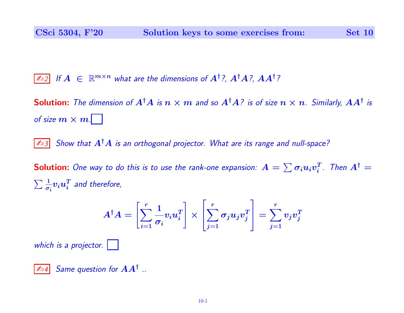$\boxed{\mathbb{Z}_2}$  If  $A~\in~\mathbb{R}^{m\times n}$  what are the dimensions of  $A^\dagger$  ?,  $A^\dagger A$  ?,  $AA^\dagger$  ?

**Solution:** The dimension of  $A^\dagger A$  is  $n\times m$  and so  $A^\dagger A$ ? is of size  $n\times n$ . Similarly,  $AA^\dagger$  is of size  $m \times m$ .

 $\boxed{\mathbb{Z}_3}$  Show that  $A^{\dagger}A$  is an orthogonal projector. What are its range and null-space?

**Solution:** One way to do this is to use the rank-one expansion:  $A = \sum \sigma_i u_i v_i^T$  $_i^T$ . Then  $A^{\dagger} =$  $\sum \frac{1}{\sigma}$  $\frac{1}{\sigma_i} \boldsymbol{v}_i \boldsymbol{u}_i^T$  $\frac{T}{i}$  and therefore,

$$
A^{\dagger}A = \left[\sum_{i=1}^r \frac{1}{\sigma_i} v_i u_i^T\right] \times \left[\sum_{j=1}^r \sigma_j u_j v_j^T\right] = \sum_{j=1}^r v_j v_j^T
$$

which is a projector.

 $\boxed{\mathbb{Z}_04}$  Same question for  $AA^\dagger$  ..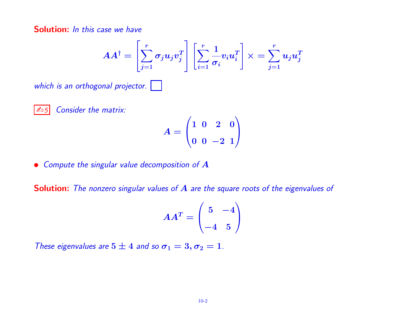Solution: *In this case we have* 

$$
AA^\dagger = \left[\sum_{j=1}^r \sigma_j u_j v_j^T\right] \left[\sum_{i=1}^r \frac{1}{\sigma_i} v_i u_i^T\right] \times = \sum_{j=1}^r u_j u_j^T
$$

which is an orthogonal projector.

$$
\boxed{\mathbb{Z}_05}
$$

Consider the matrix:

$$
A=\begin{pmatrix}1&0&2&0\\0&0&-2&1\end{pmatrix}
$$

• Compute the singular value decomposition of  $A$ 

Solution: The nonzero singular values of A are the square roots of the eigenvalues of

$$
AA^T=\begin{pmatrix}5&-4\\-4&5\end{pmatrix}
$$

These eigenvalues are  $5 \pm 4$  and so  $\sigma_1 = 3, \sigma_2 = 1$ .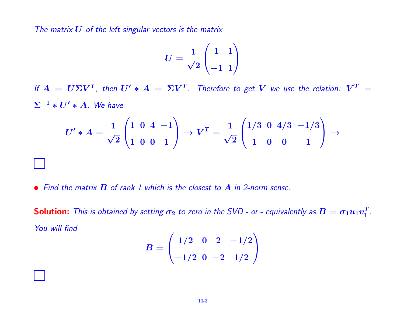The matrix  $U$  of the left singular vectors is the matrix

$$
U=\frac{1}{\sqrt{2}}\begin{pmatrix}1&1\\-1&1\end{pmatrix}
$$

If  $A~=~U\Sigma V^{T}$ , then  $U'*A~=~\Sigma V^{T}$ . Therefore to get  $V$  we use the relation:  $V^{T}~=~$  $\Sigma^{-1} * U' * A$ . We have

$$
U' * A = \frac{1}{\sqrt{2}} \begin{pmatrix} 1 & 0 & 4 & -1 \\ 1 & 0 & 0 & 1 \end{pmatrix} \rightarrow V^T = \frac{1}{\sqrt{2}} \begin{pmatrix} 1/3 & 0 & 4/3 & -1/3 \\ 1 & 0 & 0 & 1 \end{pmatrix} \rightarrow
$$

• Find the matrix  $B$  of rank 1 which is the closest to  $A$  in 2-norm sense.

**Solution:** This is obtained by setting  $\bm{\sigma}_2$  to zero in the SVD - or - equivalently as  $\bm{B}=\bm{\sigma}_1\bm{u}_1\bm{v}_1^T$  $\frac{T}{1}$  . You will find

$$
B=\begin{pmatrix} 1/2 & 0 & 2 & -1/2 \\ -1/2 & 0 & -2 & 1/2 \end{pmatrix}
$$